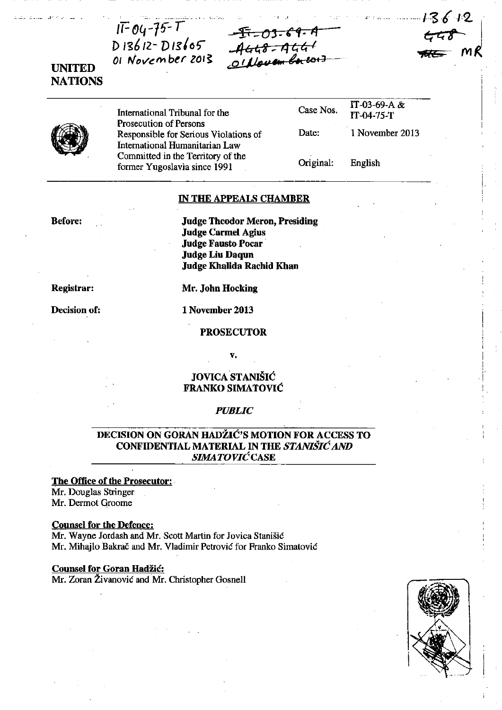*······I'S612. .*   $5.77$   $\pm$ <del>NCC M</del>R



: .. : ... : •.. \_ . *• V <sup>o</sup> "* I •••• \_. \_\_\_\_\_\_ : \_\_\_ ,. ,: •• -.

 $IF04-75-T$ 

 $D13612 - D13605$ of November 2013



International Tribunal for the Prosecution of Persons Responsible for Serious Violations of International Humanitarian Law Committed in the Territory of the former Yugoslavia since 1991

| Case Nos. | IT-03-69-A &<br>IT-04-75-T |
|-----------|----------------------------|
| Date:     | 1 November 2013            |
|           |                            |

English

Original:

## IN THE APPEALS CHAMBER

- I .' ~fi *-o,·* (f· lIJ *-46t;S-* 4 t:< t; <sup>I</sup>

., (!J ('~".' **<sup>I</sup>***I't* **&el)** 

Before:

Judge Theodor Meron, Presiding Judge Carrnel Agius Judge Fausto Pocar· Judge Liu Daqun Judge Khalida Rachid Khan

Registrar:

Decision of:

Mr. John Hocking

1 November 2013

## PROSECUTOR

v.

# JOVICA STANIŠIĆ FRANKO SIMATOVIĆ

## *PUBLIC*

# DECISION ON GORAN HADŽIĆ'S MOTION FOR ACCESS TO CONFIDENTIAL MATERIAL IN THE STANIŠIĆAND *SIMA* TOVIĆCASE

### The Office of the Prosecutor:

Mr. Douglas Stringer Mr. Dermot Groome

## Counsel for the Defence:

Mr. Wayne lordash and Mr. Scott Martin for Jovica Stanišić Mr. Mihajlo Bakrač and Mr. Vladimir Petrović for Franko Simatović

### Counsel for Goran Hadžić:

Mr. Zoran Živanović and Mr. Christopher Gosnell

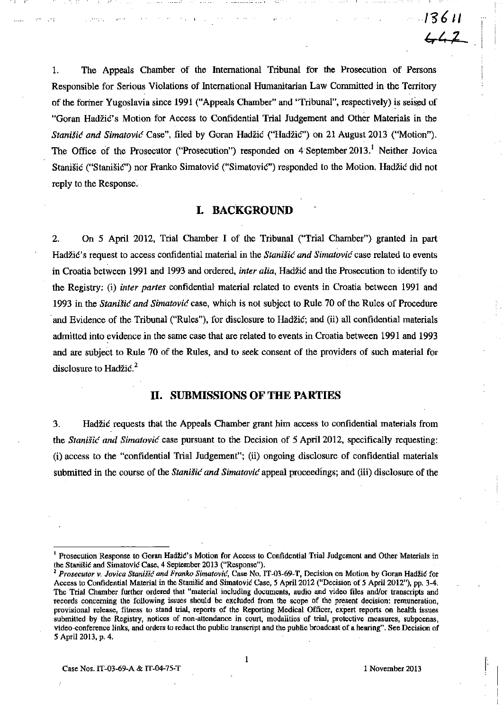1. The Appeals Chamber of the International Tribunal for tbe Prosecution of Persons Responsible for Serious Violations of International Humanitarian Law Committed m the Territory of the former Yugoslavia since 1991 ("Appeals Chamber" and "Tribunal", respectively) is seised of "Goran Hadžić' s Motion for Access to Confidential Trial Judgement and Other Materials in the Stanišić and Simatović Case", filed by Goran Hadžić ("Hadžić") on 21 August 2013 ("Motion"). The Office of the Prosecutor ("Prosecution") responded on 4 September 2013.<sup>1</sup> Neither Jovica Stanišić ("Stanišić") nor Franko Simatović ("Simatović") responded to the Motion. Hadžić did not reply to the Response.

# **I. BACKGROUND**

2. On 5 April 2012, Trial Chamber I of the Tribunal ("Trial Chamber") granted in part Hadžić's request to access confidential material in the Stanišić and Simatović case related to events in Croatia between 1991 and 1993 and ordered, *inter alia,* Hadžić and the Prosecution to identify to the Registry: (i) *inter partes* confidential material related to events in Croatia between 1991 and 1993 in the Stanišić *and* Simatović case, which is not subject to Rule 70 of the Rules of Procedure . and Evidence of the Tribunal ("Rules"), for disclosure to Hadžić; and (ii) all confidential materials admitted into evidence in the same case that are related to events m Croatia between 1991 and 1993 and are subject to Rule 70 of the Rules, and to seek consent of the providers of such material for disclosure to Hadžić.<sup>2</sup>

## **II. SUBMISSIONS OF THE PARTIES**

3. Hadžić requests that the Appeals Chamber grant bim access to confidential materials from the Stanišić *and* Simatović case pursuant to the Decision of 5 April 2012, specifically requestmg: (i) access to the "confidential Trial Judgement"; (ii) ongomg disclosure of confidential materials submitted in the course of the *Stanišić and Simatović* appeal proceedings; and (iii) disclosure of the

<sup>&</sup>lt;sup>1</sup> Prosecution Response to Goran Hadžić's Motion for Access to Confidential Trial Judgement and Other Materials in the Stanišić and Simatović Case, 4 September 2013 ("Response").

**<sup>2</sup>***Prosecutor v. Jovica* Stani.fić *and Franko* Simatov;ć, **Case No. IT-03-69-T, Decision on Motion by Goran Hadži6 for**  Access to Confidential Material in the Stanišić and Simatović Case, 5 April 2012 ("Decision of 5 April 2012"), pp. 3-4. The Trial Chamber further ordered that "material including documents, audio and video files andlor transcripts and records concerning the following issues should be excluded from the scope of the present decision: remuneration, provisional release, filness to stand trial, reports of the Reporting Medical Officer, expert reports on health issues **submitted by the Registry. 'notices of** non~attendance **in court, modalities of trial, protective measures, subpoenas,**  video-conference links, and orders to redact the public transcript and the public broadcast of a hearing". See Decision of 5 April *2013,* p. 4.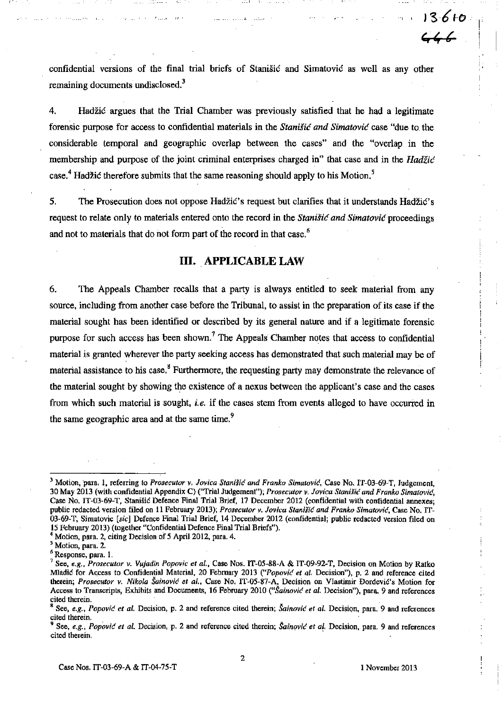confidential versions of the final trial briefs of Stanišić and Simatović as well as any other remaining documents undisclosed.<sup>3</sup>

4. Hadžić argues that the Trial Chamber was previously satisfied that he had a legitimate forensic purpose for access to confidential materials in the *Stanišić and Simatović* case "due to the considerable temporal and geographic overlap between the cases" and the "overlap in the membership and purpose of the joint criminal enterprises charged in" that case and in the Hadžić case.<sup>4</sup> Hadžić therefore submits that the same reasoning should apply to his Motion.<sup>5</sup>

5. The Prosecution does not oppose Hadžić's request but clarifies that it understands Hadžić's request to relate only to materials entered onto the record in the Stanišić and Simatović proceedings and not to materials that do not form part of the record in that case.<sup>6</sup>

# **III. APPLICABLE LAW**

6. The Appeals Chamber recalls that a party is always entitled to seek material from any source, including from another case before the Tribunal, to assist in the preparation of its case if the material sought has been identified or described by its general nature and if a legitimate forensic purpose for such access has been shown.<sup>7</sup> The Appeals Chamber notes that access to confidential material is granted wherever the party seeking access has demonstrated that such material may be of material assistance to his case.<sup>8</sup> Furthermore, the requesting party may demonstrate the relevance of the material sought by showing the existence of a nexus between the appJicant's case and the cases from which such material is sought, *i.e.* if the cases stem from events alleged to have occurred in the same geographic area and at the same time.<sup>9</sup>

<sup>&</sup>lt;sup>3</sup> Motion, para, 1, referring to Prosecutor v, Jovica Stanišić and Franko Simatović, Case No. IT-03-69-T, Judgement, 30 May 2013 (with confidential Appendix C) ("Trial Judgement"); Prosecutor v. Jovica Stanišić and Franko Simatović, Case No. 1T-03-69-T, Stanišić Defence Final Trial Brief, 17 December 2012 (confidential with confidential annexes: public redacted version filed on 11 February 2013); Prosecutor v. Jovica Stanišić and Franko Simatović, Case No. IT-03-69-T, Simatovic [sic] Defence Final Trial Brief, 14 December 2012 (confidential; public redacted version filed on 15 February 20\3) (together "Confidential Defence Final Trial Briefs"). public redacted version filed on 11 February 2013); Prosecutor v<br>03-69-T, Simatovic [sic] Defence Final Trial Brief, 14 Decembe<br>15 February 2013) (together "Confidential Defence Final Trial Br<br><sup>4</sup> Motion, para. 2, citing D

<sup>4</sup> Motion, para. 2, citing Decision of 5 April 2012, para. 4.

<sup>&</sup>lt;sup>5</sup> Motion, para. 2.<br><sup>6</sup> Response, para. 1.

See, *e.g., Prosecutor v. Vujadin Popovic et al.*, Case Nos. IT-05-88-A & IT-09-92-T, Decision on Motion by Ratko Mladić for Access to Confidential Material, 20 February 2013 ("Popović et al. Decision"), p. 2 and reference cited therein; *Prosecutor v. Nikola Sainović et al.*, Case No. IT-05-87-A, Decision on Vlastimir Đorđević's Motion for Access to Transcripts, Exhibits and Documents, 16 February 2010 ("Šainović *et al.* Decision"), para. 9 and references **ciled therein.** .

**<sup>8</sup> See,** *e.g.,* Popov;ć *et al.* **Decision, p. 2 and reference cited therein;** Šainović *et al.* **Decisiqn. para, 9 and references**  cited therein.

**<sup>9</sup> See,** *e.g., Popović et al.* **Decision, p. 2 and reference cited therein; Sainović** *et al.* **Decision, para. 9 and references** cited therein.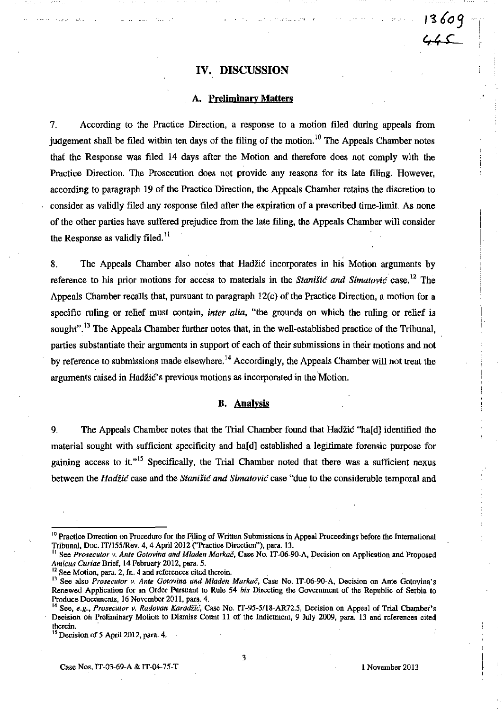# **IV. DISCUSSION**

· .,." .•••. -.-, >

! (.-

I'~ *609* 

'/~ **e** 

### **A. Preliminary Matters**

7. According to the Practice Direction. a response to a motion filed during appeals from judgement shall be filed within ten days of the filing of the motion.<sup>10</sup> The Appeals Chamber notes that the Response was filed 14 days after the Motion and therefore does not comply with the Practice Direction. The Prosecution does not provide any reasons for its late filing. However, according to paragraph 19 of the Practice Direction, the Appeals Chamber retains the discretion to consider as validly filed any response filed after the expiration of a prescribed time-limit. As none of the other parties have suffered prejudice from the late filing, the Appeals Chamber will consider the Response as validly filed.<sup>11</sup>

8. The Appeals Chamber also notes that HadžiĆ incorporates in his Motion arguments by reference to his prior motions for access to materials in the Stanišić and Simatović case.<sup>12</sup> The Appeals Chamber recalis that, pursuant to paragraph 12(c) of the Practice Direction, a motion for a specific ruling or relief must contain, *inter alia*, "the grounds on which the ruling or relief is sought".<sup>13</sup> The Appeals Chamber further notes that, in the well-established practice of the Tribunal, parties substantiate their arguments in support of each of their submissions in their motions and not by reference to submissions made elsewhere.<sup>14</sup> Accordingly, the Appeals Chamber will not treat the arguments raised in Hadžič's previous motions as incorporated in the Motion.

#### **B. Analysis**

9. The Appeals Chamber notes that the Tria! Chamber found that Hadžić "ha[d] identified the material sought with sufficient specificity and ha[d] established a legitimate forensic purpose for gaining access to it. $n^{15}$  Specifically, the Trial Chamber noted that there was a sufficient nexus between the Hadžić case and the Stanišić *and* Simatović case "due to the considerable tempora! and

<sup>&</sup>lt;sup>10</sup> Practice Direction on Procedure for the Filing of Written Submissions in Appeal Proceedings before the International Tribunal, Doc. IT/155/Rev. 4, 4 April 2012 ("Practice Direction"), para. 13.

See *Prosecutor v. Ante Gotovina and Mladen Markač*, Case No. IT-06-90-A, Decision on Application and Proposed *Arnicu" Curiae* Brief, 14 February 2012. para. 5.

**<sup>12</sup>See Motion, para. 2, fn. 4 and references cited therein.** .

<sup>&</sup>lt;sup>13</sup> See also *Prosecutor v, Ante Gotovina and Mladen Markač*, Case No. IT-06-90-A, Decision on Ante Gotovina's Renewed Application for an Order Pursuant to Rule 54 *bis* Directing the Government of the Republic of Serbia to Produce Documents. 16 November 2011, para. 4.

<sup>&</sup>lt;sup>14</sup> See, *e.g., Prosecutor v. Radovan Karadžić*, Case No. IT-95-5/18-AR72.5, Decision on Appeal of Trial Chamber's Decision on Preliminary Motion to Dismiss Count 11 of the Indictment, 9 July 2009, para. 13 and references cited **therein.** .

 $<sup>15</sup>$  Decision of 5 April 2012, para. 4.</sup>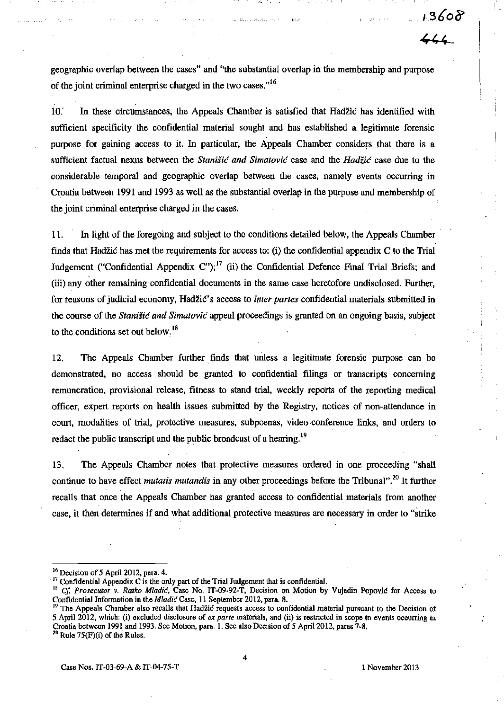$44.4$ 

geographic over1ap between the cases" and "the substantial over1ap in the membership and purpose of the joint criminal enterprise charged in the two cases. $16$ 

10.' In these circumstances, the Appeals Chamber is satisfied that Hadžić has identified with sufficient specificity the confidential material sought and has established a legitimate forensic purpose for gaining access to it. In particular, the Appeals Chamber considers that there is a sufficient factual nexus between the Stanišić *and* Simatović case and the Hadžić case due to the considerable temporal and geographic over1ap between the cases, namely events occurring in Croatia between 1991 and 1993 as well as the substantial overlap in the purpose and membership of the joint criminal enterprise charged in the cases.

ll. In light of the foregoing and subject to the conditions detailed below, the Appeals Chamber . finds that Hadžić has met the requirements for access to: (i) the confidential appendix C to the Trial Judgement ("Confidential Appendix C");  $^{17}$  (ii) the Confidential Defence Final Trial Briefs; and (iii) any other remaining confidential documents in the same case heretofore undisclosed. Further, for reasons of judicial economy, Hadžić' s access to *irtter partes* confidential materials submitted in the course of the Stanišić *and* Simatović appeal proceedings is granted on an ongoing basis, subject to the conditions set out below. $<sup>18</sup>$ </sup>

12. The Appeals Chamber further finds that unless a legitimate forensic purpose can be . demonstrated, no access should be granted to confidential filings or transcripts concerning remuneration, provisional release, fitness to stand trial, weekly reports of the reporting medical officer, expert reports on health issues submitted by the Registry, notices of non-attendance in court, modalities of trial, protective measures, subpoenas, video-conference links, and orders to redact the public transcript and the public broadcast of a hearing.<sup>19</sup>

13. The Appeals Chamber notes that protective measures ordered in one proceeding "shall continue to have effect *mutatis mutandis* in any other proceedings before the Tribunal".2o It further recalis that once the Appeals Chamber has granted access to confidential materials from another case, it then determines if and what additional protective measures are necessary in order to "strike

 $16$  Decision of 5 April 2012, para. 4.

 $17$  Confidential Appendix C is the only part of the Trial Judgement that is confidential.

<sup>&</sup>lt;sup>18</sup> Cf. Prosecutor v. Ratko Mladić, Case No. IT-09-92-T, Decision on Motion by Vujadin Popović for Access to Confidential Information in the Mladić Case, 11 September 2012, para. 8.

<sup>&</sup>lt;sup>19</sup> The Appeals Chamber also recalls that Hadžić requests access to confidential material pursuant to the Decision of 5 April 2012, which: (i) excluded disclosure of *ex parte* materials, and (ii) is restricted in scope to events occurring in Croatia between 1991 and 1993. See Motion, para. 1. See also Decision of 5 April 2012, paras 7-8.

 $20$  Rule 75(F)(i) of the Rules.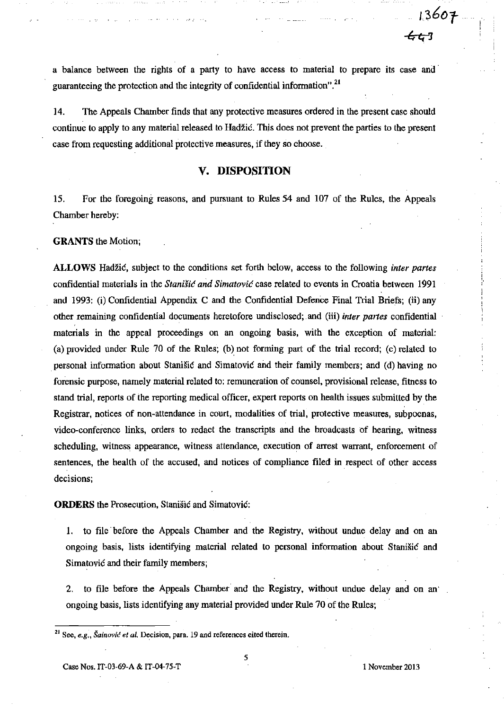a balance between the rights of a party to have access to material to prepare its case and' guaranteeing the protection and the integrity of confidential information".<sup>21</sup>

14. The Appeals Chamber finds that any protective measures ordered in the present case should continue to apply to any material released to Hadžić. This does not prevent the parties to the present case from requesting additional protective measures, if they so choose.

## **v. DISPOSITION**

15. For the foregoing reasons, and pursuant to Rules 54 and 107 of the Rules, the Appeals Chamber hereby:

### **GRANTS** the Motion;

**ALLOWS** Hadžić, subject to the conditions set forth below, access to the following *inter partes*  confidential materials in the Stanišić *and* Simatović case related to events in Croatia between 1991 and 1993: (i) Confidential Appendix C and the Confidential Defence Final Trial Briefs; (ii) any other remaining confidential documents heretofore undisclosed;. and (iii) *inter partes* confidential materials in the appeal proceedings on an ongoing basis, with the exception of material: (a) provided under Rule 70 of the Rules; (b) not forming part of the trial record; (e) related to personal information about Stanišić and Simatović and their family members; and (d) having no forensic purpose, namely material related to: remuneration of counsel, provisional release, fitness to stand trial, reports of the reporting medical officer, expert reports on health issues submitted by the Registrar, notices of non-attendance in court, modalities of trial, protective measures, subpoenas, video-conference links, orders to redact the transcripts and the broadcasts of hearing, witness scheduling, witness appearance, witness attendance, execution of arrest warrant, enforcement of sentences, the health of the accused, and notices of compliance filed in respect of other access decisions;

**ORDERS** the Prosecution, Stanišić and Simatović:

1. to file before the Appeals Chamber and the Registry, without undue delay and on an ongoing basis, lists identifying material related to personal information about Stanišić and Simatović and their family members;

2. to file before the Appeals Chamber and the Registry, without undue delay and on an' ongoing basis, lists identifying any material provided under Rule 70 of the Rules;

**21 See,** *e.g.,* Šainović *et al.* **De:cision. para. 19 and references cited therein.**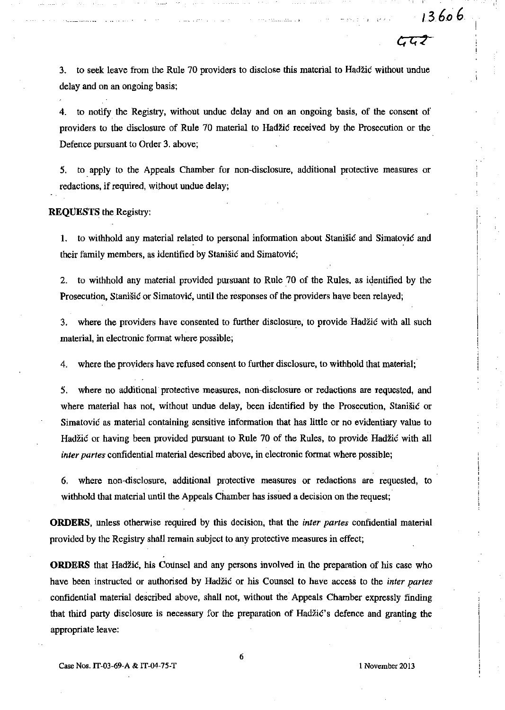3. to seek leave from the Rule 70 providers to disclose this material to Hadžić without undue delay and on an ongoing basis;

4. to notify the Registry, without undue delay and on an ongoing basis, of the consent of providers to the disclosure of Rule 70 material to Hadžić received by the Prosecution or the Defence pursuant to Order 3. above;

5. to. apply to the Appeals Chamber for non·disclosure, additional protective measures or redactions, if required, without undue delay;

**REQUESTS** the Registry:

1. to withhold any material related to personal information about Stanišić and Simatović and their family members, as identified by Stanišić and Simatović;

2. to withhold any material provided pursuant to Rule 70 of the Rules, as identified by the Prosecution, Stanišić or Simatović, until the responses of the providers have been relayed;

3. where the providers have consented to further disclosure, to provide Hadžić with all such material, **in** electronic format where possible;

4. where the providers have refused consent to further disclosure, to withhold that material;

5. where no additional protective measures, non-disclosure or redactions are requested, and where material has not, without undue delay, been identified by the Prosecution, Stanišić or Simatović as material containing sensitive information that has little or no evidentiary value to Hadžić or having been provided pursuant to Rule 70 of the Rules, to provide Hadžić with all *inter partes* confidential material described above, in electronic format where possible;

6. where non-disclosure, additional protective measures or redactions are requested, to withhold that material until the Appeals Chamber has issued a decision on the request;

**ORDERS,** unless otherwise required by this decision, that the *inter partes* confidential material provided by the Registry shall remain subject to any protective measures in effect;

**ORDERS** that Hadžić, his Counsel and any persons involved in the preparation of his case who have been instructed or authorised by Hadžić or his Counsel to have access to the *inter partes*  confidential material described above, shall not, without the Appeals Chamber expressly finding that third party disclosure is necessary for the preparation of Hadžić's defence and granting the appropriate leave: